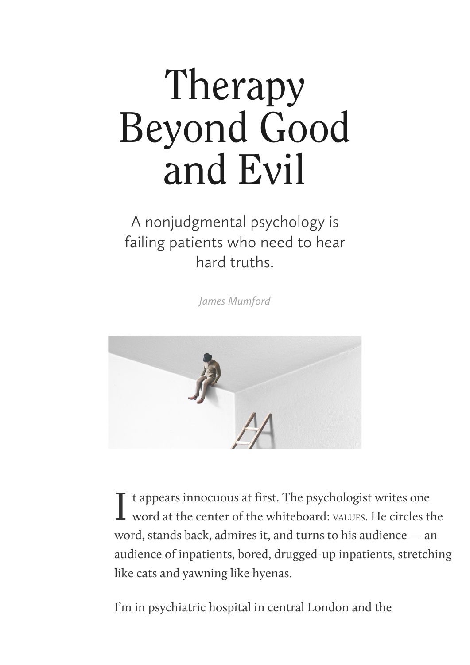## Therapy Beyond Good and Evil

## A nonjudgmental psychology is failing patients who need to hear hard truths.

*[James Mumford](https://www.thenewatlantis.com/authors/james-mumford)*



I t appears innocuous at first. The psychologist writes one word at the center of the whiteboard: vALUES. He circles the t appears innocuous at first. The psychologist writes one word, stands back, admires it, and turns to his audience — an audience of inpatients, bored, drugged-up inpatients, stretching like cats and yawning like hyenas.

I'm in psychiatric hospital in central London and the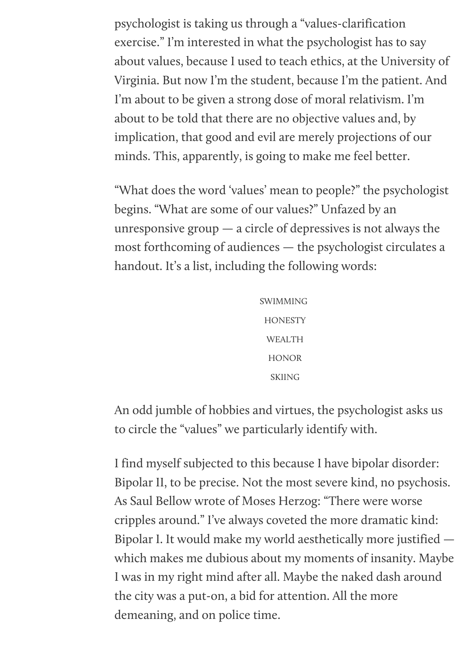psychologist is taking us through a "values-clarification exercise." I'm interested in what the psychologist has to say about values, because I used to teach ethics, at the University of Virginia. But now I'm the student, because I'm the patient. And I'm about to be given a strong dose of moral relativism. I'm about to be told that there are no objective values and, by implication, that good and evil are merely projections of our minds. This, apparently, is going to make me feel better.

"What does the word 'values' mean to people?" the psychologist begins. "What are some of our values?" Unfazed by an unresponsive group  $-$  a circle of depressives is not always the most forthcoming of audiences — the psychologist circulates a handout. It's a list, including the following words:

> SWIMMING **HONESTY** WEALTH HONOR SKIING

An odd jumble of hobbies and virtues, the psychologist asks us to circle the "values" we particularly identify with.

I find myself subjected to this because I have bipolar disorder: Bipolar II, to be precise. Not the most severe kind, no psychosis. As Saul Bellow wrote of Moses Herzog: "There were worse cripples around." I've always coveted the more dramatic kind: Bipolar I. It would make my world aesthetically more justified which makes me dubious about my moments of insanity. Maybe I was in my right mind after all. Maybe the naked dash around the city was a put-on, a bid for attention. All the more demeaning, and on police time.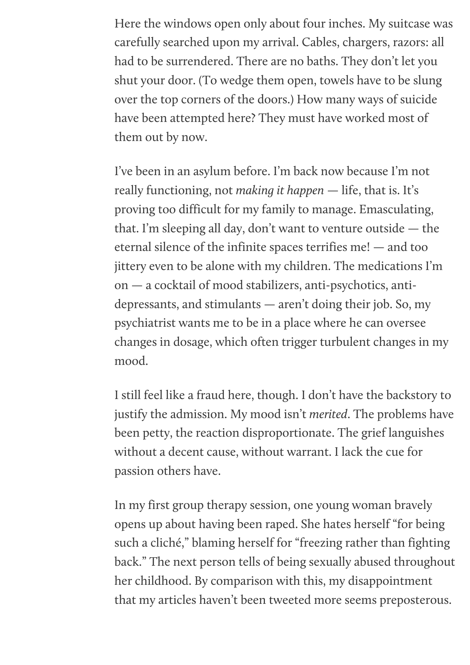Here the windows open only about four inches. My suitcase was carefully searched upon my arrival. Cables, chargers, razors: all had to be surrendered. There are no baths. They don't let you shut your door. (To wedge them open, towels have to be slung over the top corners of the doors.) How many ways of suicide have been attempted here? They must have worked most of them out by now.

I've been in an asylum before. I'm back now because I'm not really functioning, not *making it happen* — life, that is. It's proving too difficult for my family to manage. Emasculating, that. I'm sleeping all day, don't want to venture outside — the eternal silence of the infinite spaces terrifies me! — and too jittery even to be alone with my children. The medications I'm on — a cocktail of mood stabilizers, anti-psychotics, antidepressants, and stimulants — aren't doing their job. So, my psychiatrist wants me to be in a place where he can oversee changes in dosage, which often trigger turbulent changes in my mood.

I still feel like a fraud here, though. I don't have the backstory to justify the admission. My mood isn't *merited*. The problems have been petty, the reaction disproportionate. The grief languishes without a decent cause, without warrant. I lack the cue for passion others have.

In my first group therapy session, one young woman bravely opens up about having been raped. She hates herself "for being such a cliché," blaming herself for "freezing rather than fighting back." The next person tells of being sexually abused throughout her childhood. By comparison with this, my disappointment that my articles haven't been tweeted more seems preposterous.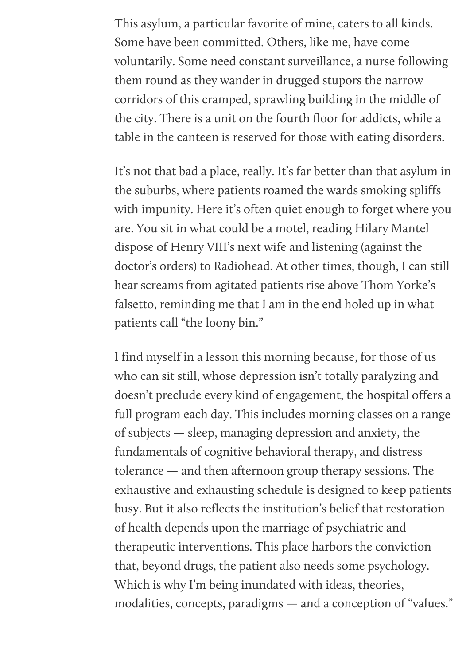This asylum, a particular favorite of mine, caters to all kinds. Some have been committed. Others, like me, have come voluntarily. Some need constant surveillance, a nurse following them round as they wander in drugged stupors the narrow corridors of this cramped, sprawling building in the middle of the city. There is a unit on the fourth floor for addicts, while a table in the canteen is reserved for those with eating disorders.

It's not that bad a place, really. It's far better than that asylum in the suburbs, where patients roamed the wards smoking spliffs with impunity. Here it's often quiet enough to forget where you are. You sit in what could be a motel, reading Hilary Mantel dispose of Henry VIII's next wife and listening (against the doctor's orders) to Radiohead. At other times, though, I can still hear screams from agitated patients rise above Thom Yorke's falsetto, reminding me that I am in the end holed up in what patients call "the loony bin."

I find myself in a lesson this morning because, for those of us who can sit still, whose depression isn't totally paralyzing and doesn't preclude every kind of engagement, the hospital offers a full program each day. This includes morning classes on a range of subjects — sleep, managing depression and anxiety, the fundamentals of cognitive behavioral therapy, and distress tolerance — and then afternoon group therapy sessions. The exhaustive and exhausting schedule is designed to keep patients busy. But it also reflects the institution's belief that restoration of health depends upon the marriage of psychiatric and therapeutic interventions. This place harbors the conviction that, beyond drugs, the patient also needs some psychology. Which is why I'm being inundated with ideas, theories, modalities, concepts, paradigms — and a conception of "values."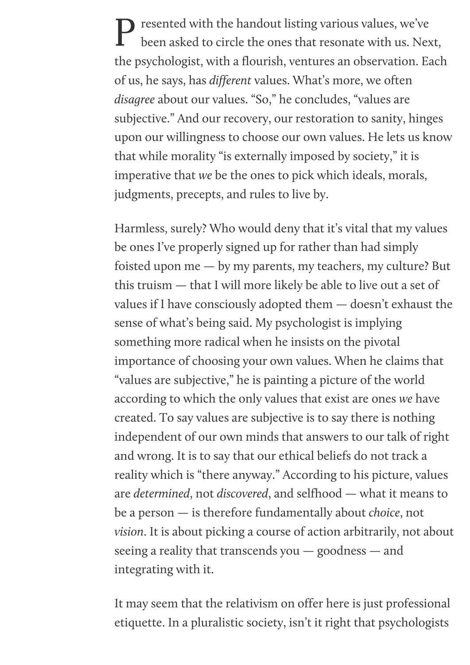P resented with the handout listing various values, we've been asked to circle the ones that resonate with us. Next, the psychologist, with a flourish, ventures an observation. Each of us, he says, has *different* values. What's more, we often *disagree* about our values. "So," he concludes, "values are subjective." And our recovery, our restoration to sanity, hinges upon our willingness to choose our own values. He lets us know that while morality "is externally imposed by society," it is imperative that *we* be the ones to pick which ideals, morals, judgments, precepts, and rules to live by.

Harmless, surely? Who would deny that it's vital that my values be ones I've properly signed up for rather than had simply foisted upon me — by my parents, my teachers, my culture? But this truism — that I will more likely be able to live out a set of values if I have consciously adopted them — doesn't exhaust the sense of what's being said. My psychologist is implying something more radical when he insists on the pivotal importance of choosing your own values. When he claims that "values are subjective," he is painting a picture of the world according to which the only values that exist are ones *we* have created. To say values are subjective is to say there is nothing independent of our own minds that answers to our talk of right and wrong. It is to say that our ethical beliefs do not track a reality which is "there anyway." According to his picture, values are *determined*, not *discovered*, and selfhood — what it means to be a person — is therefore fundamentally about *choice*, not *vision*. It is about picking a course of action arbitrarily, not about seeing a reality that transcends you — goodness — and integrating with it.

It may seem that the relativism on offer here is just professional etiquette. In a pluralistic society, isn't it right that psychologists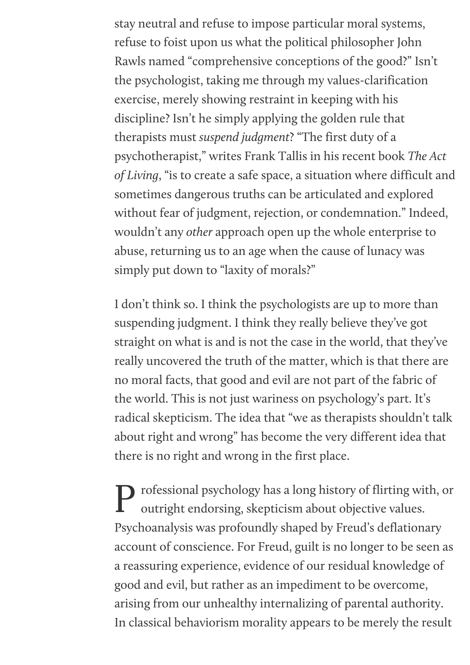stay neutral and refuse to impose particular moral systems, refuse to foist upon us what the political philosopher John Rawls named "comprehensive conceptions of the good?" Isn't the psychologist, taking me through my values-clarification exercise, merely showing restraint in keeping with his discipline? Isn't he simply applying the golden rule that therapists must *suspend judgment*? "The first duty of a psychotherapist," writes Frank Tallis in his recent book *The Act of Living*, "is to create a safe space, a situation where difficult and sometimes dangerous truths can be articulated and explored without fear of judgment, rejection, or condemnation." Indeed, wouldn't any *other* approach open up the whole enterprise to abuse, returning us to an age when the cause of lunacy was simply put down to "laxity of morals?"

I don't think so. I think the psychologists are up to more than suspending judgment. I think they really believe they've got straight on what is and is not the case in the world, that they've really uncovered the truth of the matter, which is that there are no moral facts, that good and evil are not part of the fabric of the world. This is not just wariness on psychology's part. It's radical skepticism. The idea that "we as therapists shouldn't talk about right and wrong" has become the very different idea that there is no right and wrong in the first place.

P rofessional psychology has a long history of flirting with, or outright endorsing, skepticism about objective values. outright endorsing, skepticism about objective values. Psychoanalysis was profoundly shaped by Freud's deflationary account of conscience. For Freud, guilt is no longer to be seen as a reassuring experience, evidence of our residual knowledge of good and evil, but rather as an impediment to be overcome, arising from our unhealthy internalizing of parental authority. In classical behaviorism morality appears to be merely the result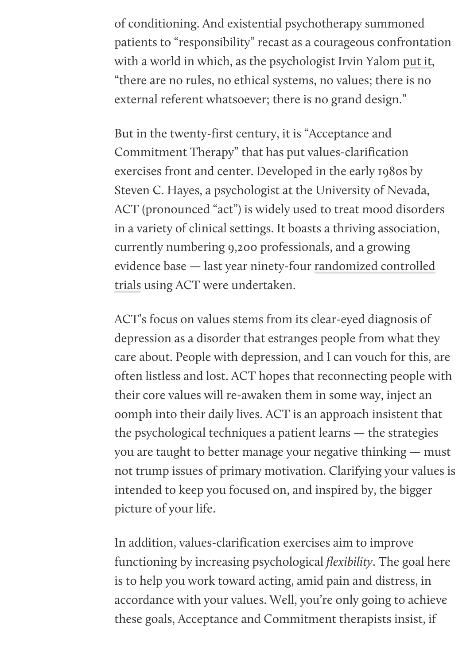of conditioning. And existential psychotherapy summoned patients to "responsibility" recast as a courageous confrontation with a world in which, as the psychologist Irvin Yalom [put it](https://www.basicbooks.com/titles/irvin-d-yalom/existential-psychotherapy/9780465021475/), "there are no rules, no ethical systems, no values; there is no external referent whatsoever; there is no grand design."

But in the twenty-first century, it is "Acceptance and Commitment Therapy" that has put values-clarification exercises front and center. Developed in the early 1980s by Steven C. Hayes, a psychologist at the University of Nevada, ACT (pronounced "act") is widely used to treat mood disorders in a variety of clinical settings. It boasts a thriving association, currently numbering 9,200 professionals, and a growing [evidence base — last year ninety-four randomized controlled](https://contextualscience.org/act_randomized_controlled_trials_1986_to_present) trials using ACT were undertaken.

ACT's focus on values stems from its clear-eyed diagnosis of depression as a disorder that estranges people from what they care about. People with depression, and I can vouch for this, are often listless and lost. ACT hopes that reconnecting people with their core values will re-awaken them in some way, inject an oomph into their daily lives. ACT is an approach insistent that the psychological techniques a patient learns — the strategies you are taught to better manage your negative thinking — must not trump issues of primary motivation. Clarifying your values is intended to keep you focused on, and inspired by, the bigger picture of your life.

In addition, values-clarification exercises aim to improve functioning by increasing psychological *flexibility*. The goal here is to help you work toward acting, amid pain and distress, in accordance with your values. Well, you're only going to achieve these goals, Acceptance and Commitment therapists insist, if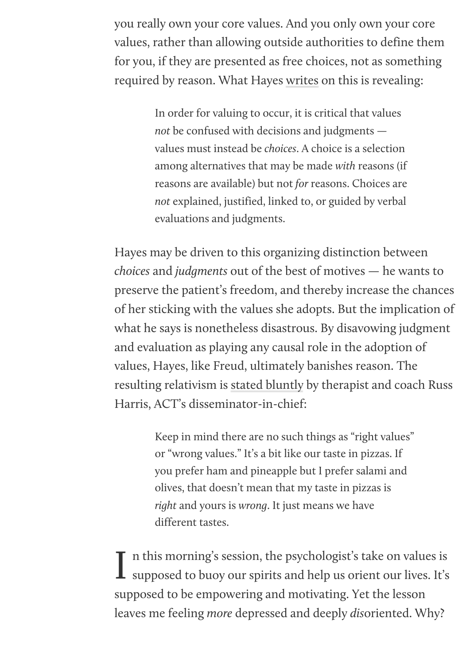you really own your core values. And you only own your core values, rather than allowing outside authorities to define them for you, if they are presented as free choices, not as something required by reason. What Hayes [writes](https://www.guilford.com/books/Acceptance-and-Commitment-Therapy/Hayes-Strosahl-Wilson/9781462528943) on this is revealing:

> In order for valuing to occur, it is critical that values *not* be confused with decisions and judgments values must instead be *choices*. A choice is a selection among alternatives that may be made *with* reasons (if reasons are available) but not *for* reasons. Choices are *not* explained, justified, linked to, or guided by verbal evaluations and judgments.

Hayes may be driven to this organizing distinction between *choices* and *judgments* out of the best of motives — he wants to preserve the patient's freedom, and thereby increase the chances of her sticking with the values she adopts. But the implication of what he says is nonetheless disastrous. By disavowing judgment and evaluation as playing any causal role in the adoption of values, Hayes, like Freud, ultimately banishes reason. The resulting relativism is [stated bluntly](https://www.actmindfully.com.au/wp-content/uploads/2019/07/Values_Checklist_-_Russ_Harris.pdf) by therapist and coach Russ Harris, ACT's disseminator-in-chief:

> Keep in mind there are no such things as "right values" or "wrong values." It's a bit like our taste in pizzas. If you prefer ham and pineapple but I prefer salami and olives, that doesn't mean that my taste in pizzas is *right* and yours is *wrong*. It just means we have different tastes.

In this morning's session, the psychologist's take on values is<br>supposed to buoy our spirits and help us orient our lives. It's n this morning's session, the psychologist's take on values is supposed to be empowering and motivating. Yet the lesson leaves me feeling *more* depressed and deeply *dis*oriented. Why?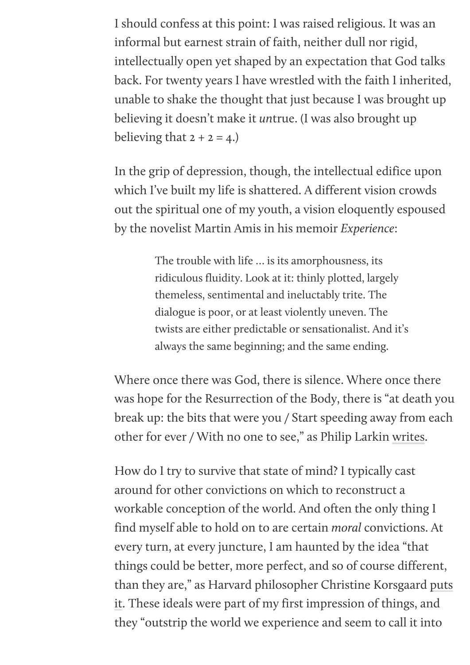I should confess at this point: I was raised religious. It was an informal but earnest strain of faith, neither dull nor rigid, intellectually open yet shaped by an expectation that God talks back. For twenty years I have wrestled with the faith I inherited, unable to shake the thought that just because I was brought up believing it doesn't make it *un*true. (I was also brought up believing that  $2 + 2 = 4$ .

In the grip of depression, though, the intellectual edifice upon which I've built my life is shattered. A different vision crowds out the spiritual one of my youth, a vision eloquently espoused by the novelist Martin Amis in his memoir *Experience*:

> The trouble with life … is its amorphousness, its ridiculous fluidity. Look at it: thinly plotted, largely themeless, sentimental and ineluctably trite. The dialogue is poor, or at least violently uneven. The twists are either predictable or sensationalist. And it's always the same beginning; and the same ending.

Where once there was God, there is silence. Where once there was hope for the Resurrection of the Body, there is "at death you break up: the bits that were you / Start speeding away from each other for ever / With no one to see," as Philip Larkin [writes](https://allpoetry.com/The-Old-Fools).

How do I try to survive that state of mind? I typically cast around for other convictions on which to reconstruct a workable conception of the world. And often the only thing I find myself able to hold on to are certain *moral* convictions. At every turn, at every juncture, I am haunted by the idea "that things could be better, more perfect, and so of course different, [than they are," as Harvard philosopher Christine Korsgaard puts](https://www.cambridge.org/core/books/sources-of-normativity/5A85034A6566FDFDE374073A015CBD2A) it. These ideals were part of my first impression of things, and they "outstrip the world we experience and seem to call it into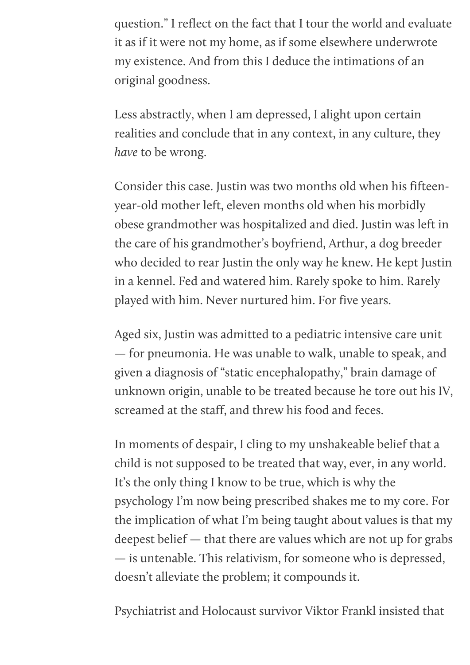question." I reflect on the fact that I tour the world and evaluate it as if it were not my home, as if some elsewhere underwrote my existence. And from this I deduce the intimations of an original goodness.

Less abstractly, when I am depressed, I alight upon certain realities and conclude that in any context, in any culture, they *have* to be wrong.

Consider this case. Justin was two months old when his fifteenyear-old mother left, eleven months old when his morbidly obese grandmother was hospitalized and died. Justin was left in the care of his grandmother's boyfriend, Arthur, a dog breeder who decided to rear Justin the only way he knew. He kept Justin in a kennel. Fed and watered him. Rarely spoke to him. Rarely played with him. Never nurtured him. For five years.

Aged six, Justin was admitted to a pediatric intensive care unit — for pneumonia. He was unable to walk, unable to speak, and given a diagnosis of "static encephalopathy," brain damage of unknown origin, unable to be treated because he tore out his IV, screamed at the staff, and threw his food and feces.

In moments of despair, I cling to my unshakeable belief that a child is not supposed to be treated that way, ever, in any world. It's the only thing I know to be true, which is why the psychology I'm now being prescribed shakes me to my core. For the implication of what I'm being taught about values is that my deepest belief — that there are values which are not up for grabs — is untenable. This relativism, for someone who is depressed, doesn't alleviate the problem; it compounds it.

Psychiatrist and Holocaust survivor Viktor Frankl insisted that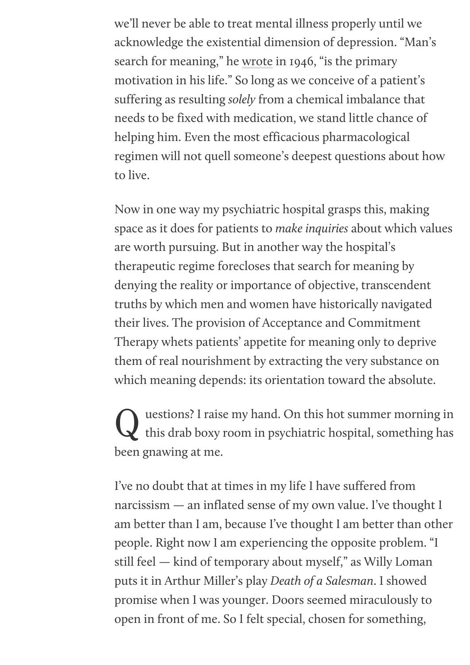we'll never be able to treat mental illness properly until we acknowledge the existential dimension of depression. "Man's search for meaning," he [wrote](http://www.beacon.org/Mans-Search-for-Meaning-P602.aspx) in 1946, "is the primary motivation in his life." So long as we conceive of a patient's suffering as resulting *solely* from a chemical imbalance that needs to be fixed with medication, we stand little chance of helping him. Even the most efficacious pharmacological regimen will not quell someone's deepest questions about how to live.

Now in one way my psychiatric hospital grasps this, making space as it does for patients to *make inquiries* about which values are worth pursuing. But in another way the hospital's therapeutic regime forecloses that search for meaning by denying the reality or importance of objective, transcendent truths by which men and women have historically navigated their lives. The provision of Acceptance and Commitment Therapy whets patients' appetite for meaning only to deprive them of real nourishment by extracting the very substance on which meaning depends: its orientation toward the absolute.

Q uestions? I raise my hand. On this hot summer morning in this drab boxy room in psychiatric hospital, something has uestions? I raise my hand. On this hot summer morning in been gnawing at me.

I've no doubt that at times in my life I have suffered from narcissism — an inflated sense of my own value. I've thought I am better than I am, because I've thought I am better than other people. Right now I am experiencing the opposite problem. "I still feel — kind of temporary about myself," as Willy Loman puts it in Arthur Miller's play *Death of a Salesman*. I showed promise when I was younger. Doors seemed miraculously to open in front of me. So I felt special, chosen for something,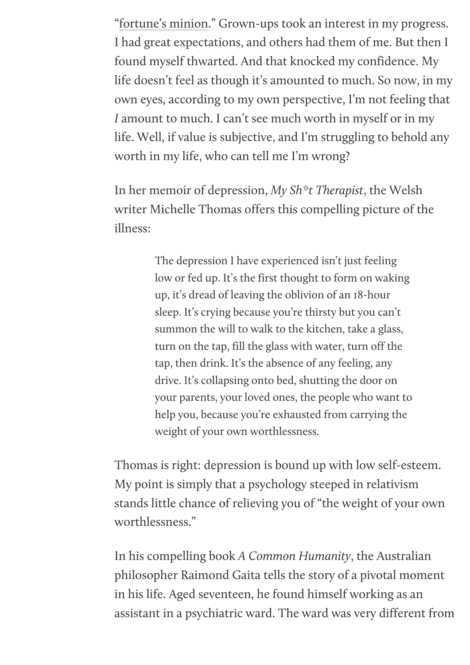"[fortune's minion.](http://shakespeare.mit.edu/1henryiv/full.html)" Grown-ups took an interest in my progress. I had great expectations, and others had them of me. But then I found myself thwarted. And that knocked my confidence. My life doesn't feel as though it's amounted to much. So now, in my own eyes, according to my own perspective, I'm not feeling that *I* amount to much. I can't see much worth in myself or in my life. Well, if value is subjective, and I'm struggling to behold any worth in my life, who can tell me I'm wrong?

In her memoir of depression, *My Sh\*t Therapist*, the Welsh writer Michelle Thomas offers this compelling picture of the illness:

> The depression I have experienced isn't just feeling low or fed up. It's the first thought to form on waking up, it's dread of leaving the oblivion of an 18-hour sleep. It's crying because you're thirsty but you can't summon the will to walk to the kitchen, take a glass, turn on the tap, fill the glass with water, turn off the tap, then drink. It's the absence of any feeling, any drive. It's collapsing onto bed, shutting the door on your parents, your loved ones, the people who want to help you, because you're exhausted from carrying the weight of your own worthlessness.

Thomas is right: depression is bound up with low self-esteem. My point is simply that a psychology steeped in relativism stands little chance of relieving you of "the weight of your own worthlessness."

In his compelling book *A Common Humanity*, the Australian philosopher Raimond Gaita tells the story of a pivotal moment in his life. Aged seventeen, he found himself working as an assistant in a psychiatric ward. The ward was very different from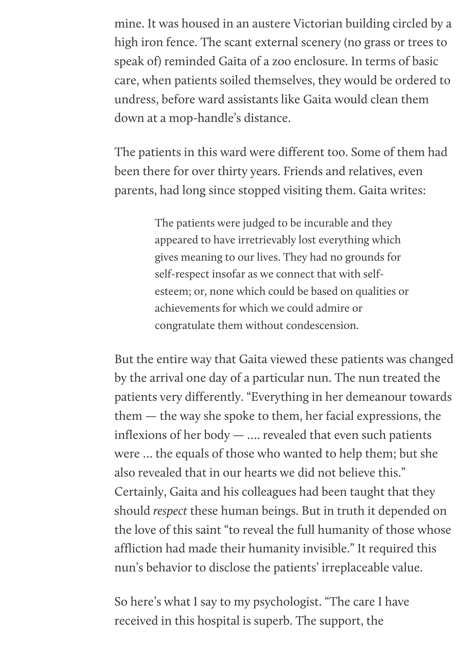mine. It was housed in an austere Victorian building circled by a high iron fence. The scant external scenery (no grass or trees to speak of) reminded Gaita of a zoo enclosure. In terms of basic care, when patients soiled themselves, they would be ordered to undress, before ward assistants like Gaita would clean them down at a mop-handle's distance.

The patients in this ward were different too. Some of them had been there for over thirty years. Friends and relatives, even parents, had long since stopped visiting them. Gaita writes:

> The patients were judged to be incurable and they appeared to have irretrievably lost everything which gives meaning to our lives. They had no grounds for self-respect insofar as we connect that with selfesteem; or, none which could be based on qualities or achievements for which we could admire or congratulate them without condescension.

But the entire way that Gaita viewed these patients was changed by the arrival one day of a particular nun. The nun treated the patients very differently. "Everything in her demeanour towards them — the way she spoke to them, her facial expressions, the inflexions of her body — …. revealed that even such patients were … the equals of those who wanted to help them; but she also revealed that in our hearts we did not believe this." Certainly, Gaita and his colleagues had been taught that they should *respect* these human beings. But in truth it depended on the love of this saint "to reveal the full humanity of those whose affliction had made their humanity invisible." It required this nun's behavior to disclose the patients' irreplaceable value.

So here's what I say to my psychologist. "The care I have received in this hospital is superb. The support, the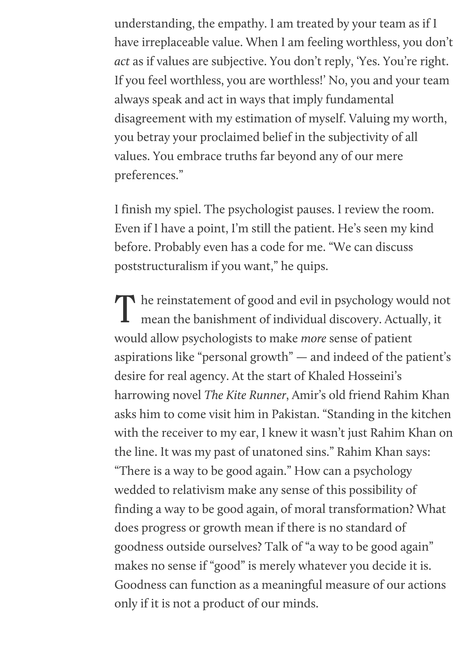understanding, the empathy. I am treated by your team as if I have irreplaceable value. When I am feeling worthless, you don't *act* as if values are subjective. You don't reply, 'Yes. You're right. If you feel worthless, you are worthless!' No, you and your team always speak and act in ways that imply fundamental disagreement with my estimation of myself. Valuing my worth, you betray your proclaimed belief in the subjectivity of all values. You embrace truths far beyond any of our mere preferences."

I finish my spiel. The psychologist pauses. I review the room. Even if I have a point, I'm still the patient. He's seen my kind before. Probably even has a code for me. "We can discuss poststructuralism if you want," he quips.

The reinstatement of good and evil in psychology would not mean the banishment of individual discovery. Actually, it mean the banishment of individual discovery. Actually, it would allow psychologists to make *more* sense of patient aspirations like "personal growth" — and indeed of the patient's desire for real agency. At the start of Khaled Hosseini's harrowing novel *The Kite Runner*, Amir's old friend Rahim Khan asks him to come visit him in Pakistan. "Standing in the kitchen with the receiver to my ear, I knew it wasn't just Rahim Khan on the line. It was my past of unatoned sins." Rahim Khan says: "There is a way to be good again." How can a psychology wedded to relativism make any sense of this possibility of finding a way to be good again, of moral transformation? What does progress or growth mean if there is no standard of goodness outside ourselves? Talk of "a way to be good again" makes no sense if "good" is merely whatever you decide it is. Goodness can function as a meaningful measure of our actions only if it is not a product of our minds.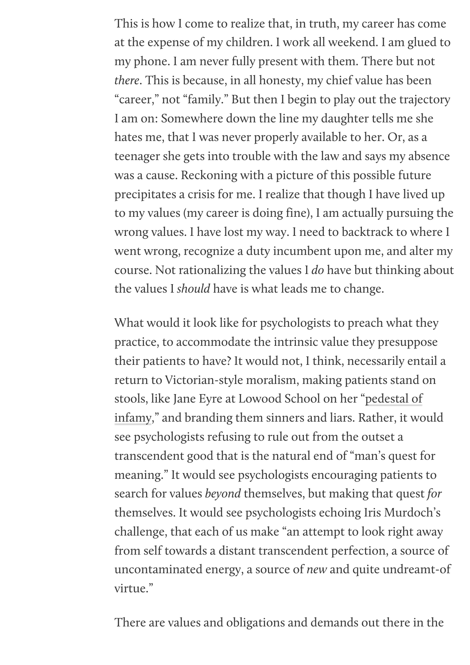This is how I come to realize that, in truth, my career has come at the expense of my children. I work all weekend. I am glued to my phone. I am never fully present with them. There but not *there*. This is because, in all honesty, my chief value has been "career," not "family." But then I begin to play out the trajectory I am on: Somewhere down the line my daughter tells me she hates me, that I was never properly available to her. Or, as a teenager she gets into trouble with the law and says my absence was a cause. Reckoning with a picture of this possible future precipitates a crisis for me. I realize that though I have lived up to my values (my career is doing fine), I am actually pursuing the wrong values. I have lost my way. I need to backtrack to where I went wrong, recognize a duty incumbent upon me, and alter my course. Not rationalizing the values I *do* have but thinking about the values I *should* have is what leads me to change.

What would it look like for psychologists to preach what they practice, to accommodate the intrinsic value they presuppose their patients to have? It would not, I think, necessarily entail a return to Victorian-style moralism, making patients stand on [stools, like Jane Eyre at Lowood School on her "pedestal of](https://www.gutenberg.org/files/1260/1260-h/1260-h.htm) infamy," and branding them sinners and liars. Rather, it would see psychologists refusing to rule out from the outset a transcendent good that is the natural end of "man's quest for meaning." It would see psychologists encouraging patients to search for values *beyond* themselves, but making that quest *for* themselves. It would see psychologists echoing Iris Murdoch's challenge, that each of us make "an attempt to look right away from self towards a distant transcendent perfection, a source of uncontaminated energy, a source of *new* and quite undreamt-of virtue."

There are values and obligations and demands out there in the